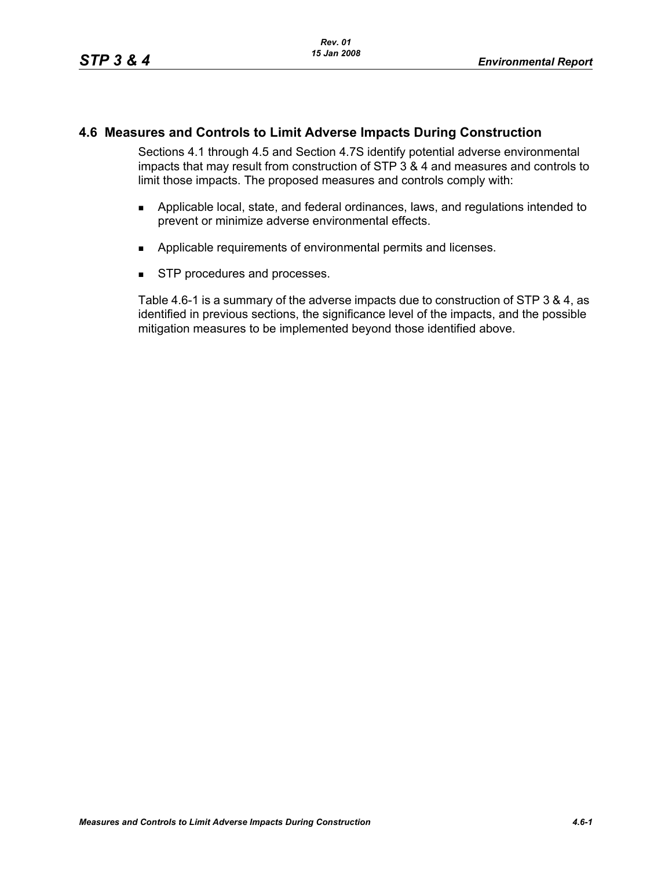# **4.6 Measures and Controls to Limit Adverse Impacts During Construction**

Sections 4.1 through 4.5 and Section 4.7S identify potential adverse environmental impacts that may result from construction of STP 3 & 4 and measures and controls to limit those impacts. The proposed measures and controls comply with:

- Applicable local, state, and federal ordinances, laws, and regulations intended to prevent or minimize adverse environmental effects.
- **Applicable requirements of environmental permits and licenses.**
- **STP** procedures and processes.

Table 4.6-1 is a summary of the adverse impacts due to construction of STP 3 & 4, as identified in previous sections, the significance level of the impacts, and the possible mitigation measures to be implemented beyond those identified above.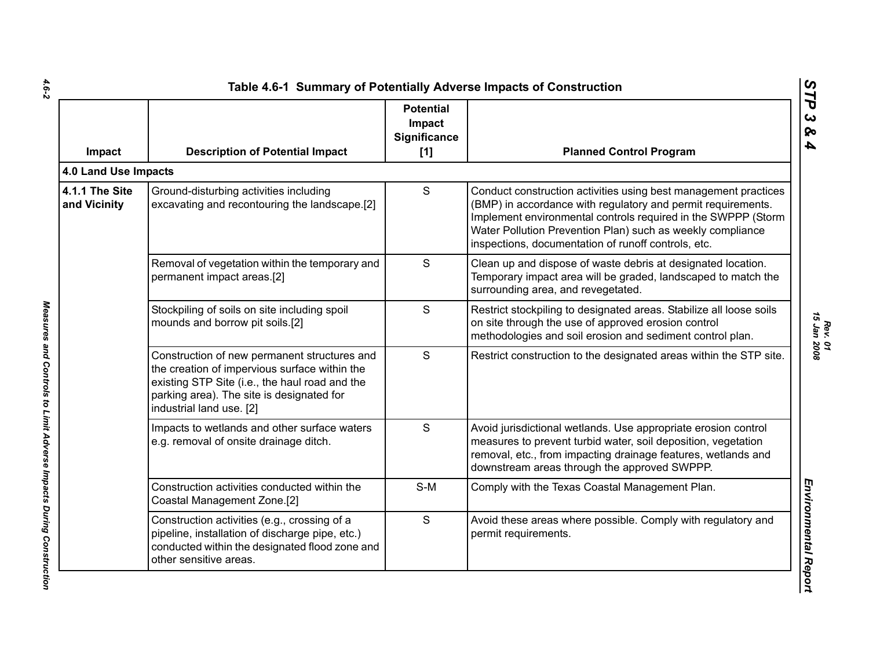| Impact                         | <b>Description of Potential Impact</b>                                                                                                                                                                                   | <b>Potential</b><br>Impact<br>Significance<br>[1] | <b>Planned Control Program</b>                                                                                                                                                                                                                                                                                        |
|--------------------------------|--------------------------------------------------------------------------------------------------------------------------------------------------------------------------------------------------------------------------|---------------------------------------------------|-----------------------------------------------------------------------------------------------------------------------------------------------------------------------------------------------------------------------------------------------------------------------------------------------------------------------|
| 4.0 Land Use Impacts           |                                                                                                                                                                                                                          |                                                   |                                                                                                                                                                                                                                                                                                                       |
| 4.1.1 The Site<br>and Vicinity | Ground-disturbing activities including<br>excavating and recontouring the landscape.[2]                                                                                                                                  | S                                                 | Conduct construction activities using best management practices<br>(BMP) in accordance with regulatory and permit requirements.<br>Implement environmental controls required in the SWPPP (Storm<br>Water Pollution Prevention Plan) such as weekly compliance<br>inspections, documentation of runoff controls, etc. |
|                                | Removal of vegetation within the temporary and<br>permanent impact areas.[2]                                                                                                                                             | S                                                 | Clean up and dispose of waste debris at designated location.<br>Temporary impact area will be graded, landscaped to match the<br>surrounding area, and revegetated.                                                                                                                                                   |
|                                | Stockpiling of soils on site including spoil<br>mounds and borrow pit soils.[2]                                                                                                                                          | S                                                 | Restrict stockpiling to designated areas. Stabilize all loose soils<br>on site through the use of approved erosion control<br>methodologies and soil erosion and sediment control plan.                                                                                                                               |
|                                | Construction of new permanent structures and<br>the creation of impervious surface within the<br>existing STP Site (i.e., the haul road and the<br>parking area). The site is designated for<br>industrial land use. [2] | S                                                 | Restrict construction to the designated areas within the STP site.                                                                                                                                                                                                                                                    |
|                                | Impacts to wetlands and other surface waters<br>e.g. removal of onsite drainage ditch.                                                                                                                                   | S                                                 | Avoid jurisdictional wetlands. Use appropriate erosion control<br>measures to prevent turbid water, soil deposition, vegetation<br>removal, etc., from impacting drainage features, wetlands and<br>downstream areas through the approved SWPPP.                                                                      |
|                                | Construction activities conducted within the<br>Coastal Management Zone.[2]                                                                                                                                              | $S-M$                                             | Comply with the Texas Coastal Management Plan.                                                                                                                                                                                                                                                                        |
|                                | Construction activities (e.g., crossing of a<br>pipeline, installation of discharge pipe, etc.)<br>conducted within the designated flood zone and<br>other sensitive areas.                                              | S                                                 | Avoid these areas where possible. Comply with regulatory and<br>permit requirements.                                                                                                                                                                                                                                  |

 $4.6 - 2$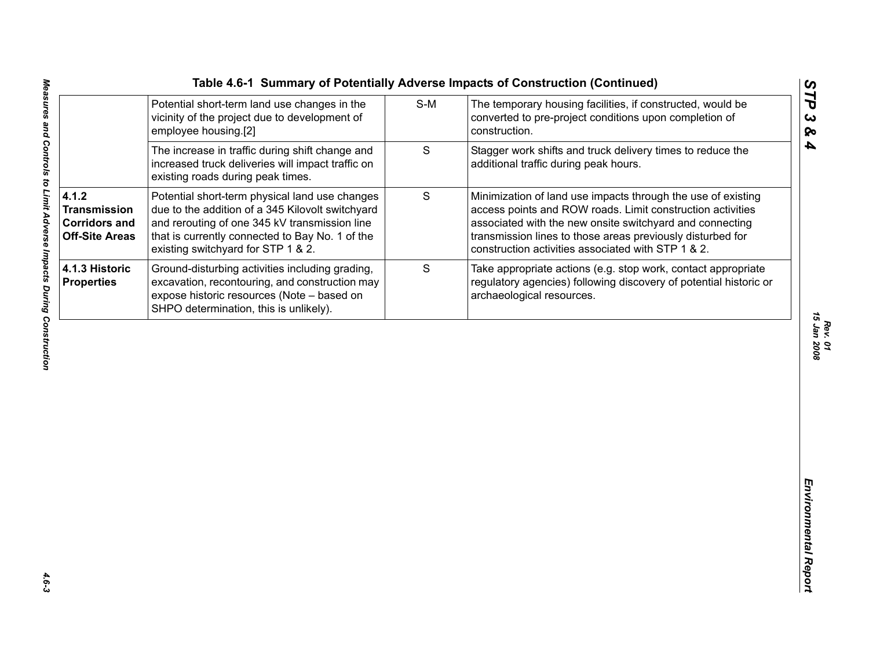|                                                                               |                                                                                                                                                                                                                                              |             | Table 4.6-1 Summary of Potentially Adverse Impacts of Construction (Continued)                                                                                                                                                                                                                             |
|-------------------------------------------------------------------------------|----------------------------------------------------------------------------------------------------------------------------------------------------------------------------------------------------------------------------------------------|-------------|------------------------------------------------------------------------------------------------------------------------------------------------------------------------------------------------------------------------------------------------------------------------------------------------------------|
|                                                                               | Potential short-term land use changes in the<br>vicinity of the project due to development of<br>employee housing.[2]                                                                                                                        | $S-M$       | The temporary housing facilities, if constructed, would be<br>converted to pre-project conditions upon completion of<br>construction.                                                                                                                                                                      |
|                                                                               | The increase in traffic during shift change and<br>increased truck deliveries will impact traffic on<br>existing roads during peak times.                                                                                                    | S           | Stagger work shifts and truck delivery times to reduce the<br>additional traffic during peak hours.                                                                                                                                                                                                        |
| 4.1.2<br><b>Transmission</b><br><b>Corridors and</b><br><b>Off-Site Areas</b> | Potential short-term physical land use changes<br>due to the addition of a 345 Kilovolt switchyard<br>and rerouting of one 345 kV transmission line<br>that is currently connected to Bay No. 1 of the<br>existing switchyard for STP 1 & 2. | $\mathsf S$ | Minimization of land use impacts through the use of existing<br>access points and ROW roads. Limit construction activities<br>associated with the new onsite switchyard and connecting<br>transmission lines to those areas previously disturbed for<br>construction activities associated with STP 1 & 2. |
| <b>4.1.3 Historic</b><br><b>Properties</b>                                    | Ground-disturbing activities including grading,<br>excavation, recontouring, and construction may<br>expose historic resources (Note - based on<br>SHPO determination, this is unlikely).                                                    | S           | Take appropriate actions (e.g. stop work, contact appropriate<br>regulatory agencies) following discovery of potential historic or<br>archaeological resources.                                                                                                                                            |
|                                                                               |                                                                                                                                                                                                                                              |             |                                                                                                                                                                                                                                                                                                            |
|                                                                               |                                                                                                                                                                                                                                              |             |                                                                                                                                                                                                                                                                                                            |
|                                                                               |                                                                                                                                                                                                                                              |             |                                                                                                                                                                                                                                                                                                            |
|                                                                               |                                                                                                                                                                                                                                              |             |                                                                                                                                                                                                                                                                                                            |
|                                                                               |                                                                                                                                                                                                                                              |             |                                                                                                                                                                                                                                                                                                            |
|                                                                               |                                                                                                                                                                                                                                              |             |                                                                                                                                                                                                                                                                                                            |

*STP 3 & 4*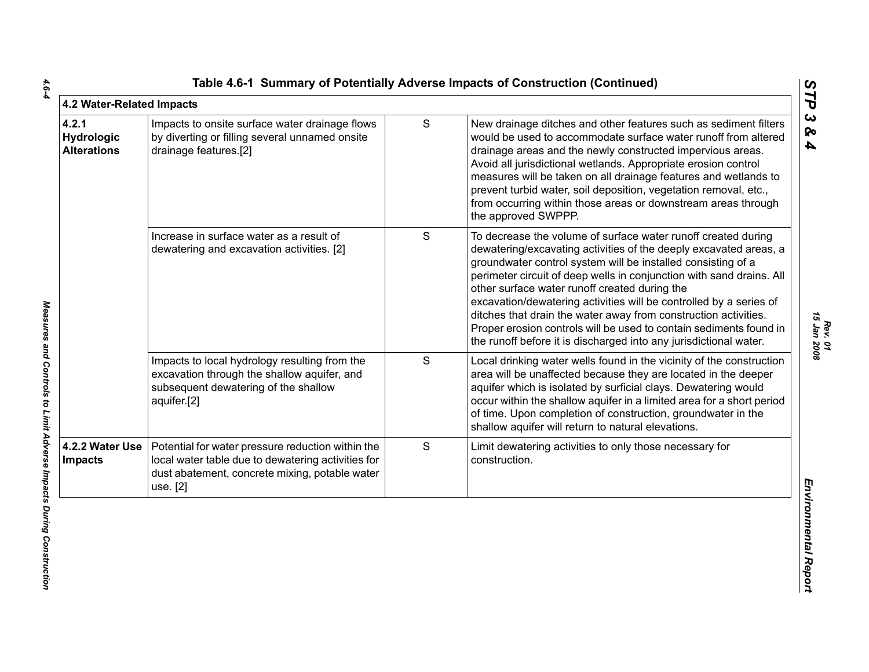| 4.2 Water-Related Impacts                        |                                                                                                                                                                       |   |                                                                                                                                                                                                                                                                                                                                                                                                                                                                                                                                                                                                                 |
|--------------------------------------------------|-----------------------------------------------------------------------------------------------------------------------------------------------------------------------|---|-----------------------------------------------------------------------------------------------------------------------------------------------------------------------------------------------------------------------------------------------------------------------------------------------------------------------------------------------------------------------------------------------------------------------------------------------------------------------------------------------------------------------------------------------------------------------------------------------------------------|
| 4.2.1<br><b>Hydrologic</b><br><b>Alterations</b> | Impacts to onsite surface water drainage flows<br>by diverting or filling several unnamed onsite<br>drainage features.[2]                                             | S | New drainage ditches and other features such as sediment filters<br>would be used to accommodate surface water runoff from altered<br>drainage areas and the newly constructed impervious areas.<br>Avoid all jurisdictional wetlands. Appropriate erosion control<br>measures will be taken on all drainage features and wetlands to<br>prevent turbid water, soil deposition, vegetation removal, etc.,<br>from occurring within those areas or downstream areas through<br>the approved SWPPP.                                                                                                               |
|                                                  | Increase in surface water as a result of<br>dewatering and excavation activities. [2]                                                                                 | S | To decrease the volume of surface water runoff created during<br>dewatering/excavating activities of the deeply excavated areas, a<br>groundwater control system will be installed consisting of a<br>perimeter circuit of deep wells in conjunction with sand drains. All<br>other surface water runoff created during the<br>excavation/dewatering activities will be controlled by a series of<br>ditches that drain the water away from construction activities.<br>Proper erosion controls will be used to contain sediments found in<br>the runoff before it is discharged into any jurisdictional water. |
|                                                  | Impacts to local hydrology resulting from the<br>excavation through the shallow aquifer, and<br>subsequent dewatering of the shallow<br>aquifer.[2]                   | S | Local drinking water wells found in the vicinity of the construction<br>area will be unaffected because they are located in the deeper<br>aquifer which is isolated by surficial clays. Dewatering would<br>occur within the shallow aquifer in a limited area for a short period<br>of time. Upon completion of construction, groundwater in the<br>shallow aquifer will return to natural elevations.                                                                                                                                                                                                         |
| 4.2.2 Water Use<br><b>Impacts</b>                | Potential for water pressure reduction within the<br>local water table due to dewatering activities for<br>dust abatement, concrete mixing, potable water<br>use. [2] | S | Limit dewatering activities to only those necessary for<br>construction.                                                                                                                                                                                                                                                                                                                                                                                                                                                                                                                                        |

*STP 3 & 4*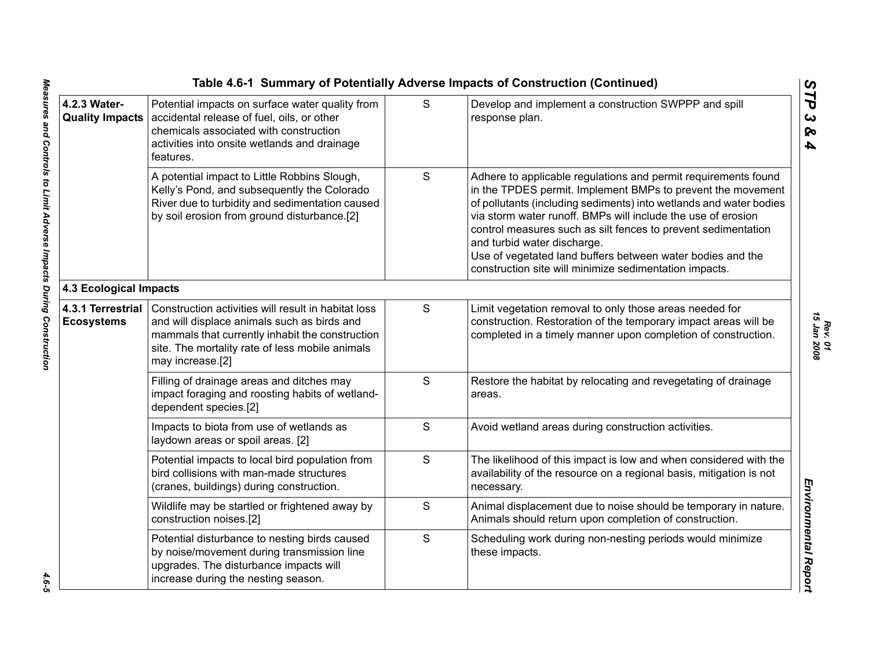|                                        |                                                                                                                                                                                                                              |   | Table 4.6-1 Summary of Potentially Adverse Impacts of Construction (Continued)                                                                                                                                                                                                                                                                                                                                                                                                              |
|----------------------------------------|------------------------------------------------------------------------------------------------------------------------------------------------------------------------------------------------------------------------------|---|---------------------------------------------------------------------------------------------------------------------------------------------------------------------------------------------------------------------------------------------------------------------------------------------------------------------------------------------------------------------------------------------------------------------------------------------------------------------------------------------|
| 4.2.3 Water-<br><b>Quality Impacts</b> | Potential impacts on surface water quality from<br>accidental release of fuel, oils, or other<br>chemicals associated with construction<br>activities into onsite wetlands and drainage<br>features.                         | S | Develop and implement a construction SWPPP and spill<br>response plan.                                                                                                                                                                                                                                                                                                                                                                                                                      |
|                                        | A potential impact to Little Robbins Slough,<br>Kelly's Pond, and subsequently the Colorado<br>River due to turbidity and sedimentation caused<br>by soil erosion from ground disturbance.[2]                                | S | Adhere to applicable regulations and permit requirements found<br>in the TPDES permit. Implement BMPs to prevent the movement<br>of pollutants (including sediments) into wetlands and water bodies<br>via storm water runoff. BMPs will include the use of erosion<br>control measures such as silt fences to prevent sedimentation<br>and turbid water discharge.<br>Use of vegetated land buffers between water bodies and the<br>construction site will minimize sedimentation impacts. |
| 4.3 Ecological Impacts                 |                                                                                                                                                                                                                              |   |                                                                                                                                                                                                                                                                                                                                                                                                                                                                                             |
| 4.3.1 Terrestrial<br><b>Ecosystems</b> | Construction activities will result in habitat loss<br>and will displace animals such as birds and<br>mammals that currently inhabit the construction<br>site. The mortality rate of less mobile animals<br>may increase.[2] | S | Limit vegetation removal to only those areas needed for<br>construction. Restoration of the temporary impact areas will be<br>completed in a timely manner upon completion of construction.                                                                                                                                                                                                                                                                                                 |
|                                        | Filling of drainage areas and ditches may<br>impact foraging and roosting habits of wetland-<br>dependent species.[2]                                                                                                        | S | Restore the habitat by relocating and revegetating of drainage<br>areas.                                                                                                                                                                                                                                                                                                                                                                                                                    |
|                                        | Impacts to biota from use of wetlands as<br>laydown areas or spoil areas. [2]                                                                                                                                                | S | Avoid wetland areas during construction activities.                                                                                                                                                                                                                                                                                                                                                                                                                                         |
|                                        | Potential impacts to local bird population from<br>bird collisions with man-made structures<br>(cranes, buildings) during construction.                                                                                      | S | The likelihood of this impact is low and when considered with the<br>availability of the resource on a regional basis, mitigation is not<br>necessary.                                                                                                                                                                                                                                                                                                                                      |
|                                        | Wildlife may be startled or frightened away by<br>construction noises.[2]                                                                                                                                                    | S | Animal displacement due to noise should be temporary in nature.<br>Animals should return upon completion of construction.                                                                                                                                                                                                                                                                                                                                                                   |
|                                        | Potential disturbance to nesting birds caused<br>by noise/movement during transmission line<br>upgrades. The disturbance impacts will<br>increase during the nesting season.                                                 | S | Scheduling work during non-nesting periods would minimize<br>these impacts.                                                                                                                                                                                                                                                                                                                                                                                                                 |
|                                        |                                                                                                                                                                                                                              |   |                                                                                                                                                                                                                                                                                                                                                                                                                                                                                             |

 $4.6 - 5$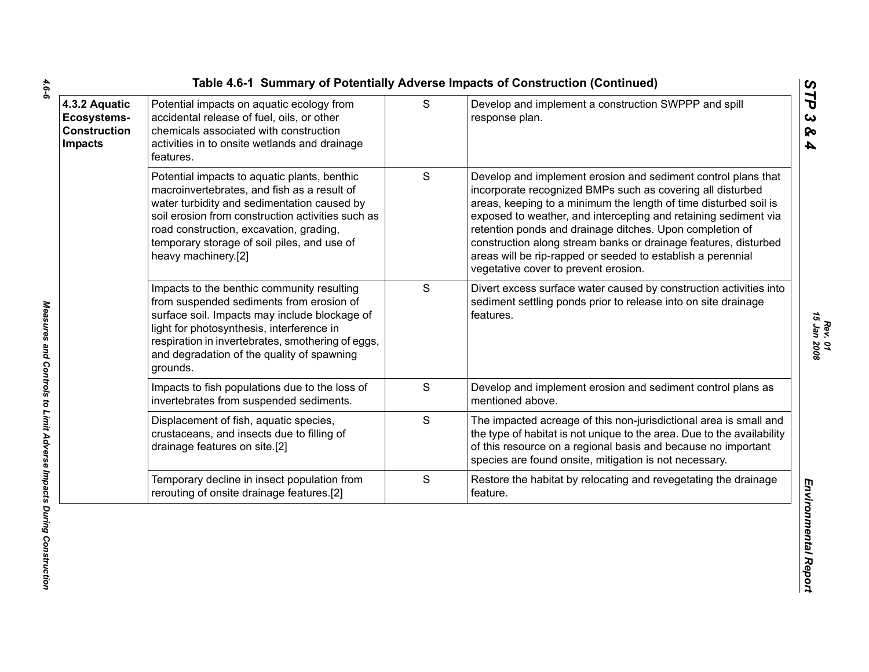|                                                                              |                                                                                                                                                                                                                                                                                                                  |             | Table 4.6-1 Summary of Potentially Adverse Impacts of Construction (Continued)                                                                                                                                                                                                                                                                                                                                                                                                                           |                                                       |
|------------------------------------------------------------------------------|------------------------------------------------------------------------------------------------------------------------------------------------------------------------------------------------------------------------------------------------------------------------------------------------------------------|-------------|----------------------------------------------------------------------------------------------------------------------------------------------------------------------------------------------------------------------------------------------------------------------------------------------------------------------------------------------------------------------------------------------------------------------------------------------------------------------------------------------------------|-------------------------------------------------------|
| 4.3.2 Aquatic<br><b>Ecosystems-</b><br><b>Construction</b><br><b>Impacts</b> | Potential impacts on aquatic ecology from<br>accidental release of fuel, oils, or other<br>chemicals associated with construction<br>activities in to onsite wetlands and drainage<br>features.                                                                                                                  | S           | Develop and implement a construction SWPPP and spill<br>response plan.                                                                                                                                                                                                                                                                                                                                                                                                                                   | STP<br>$\boldsymbol{\omega}$<br>ବ<br>$\blacktriangle$ |
|                                                                              | Potential impacts to aquatic plants, benthic<br>macroinvertebrates, and fish as a result of<br>water turbidity and sedimentation caused by<br>soil erosion from construction activities such as<br>road construction, excavation, grading,<br>temporary storage of soil piles, and use of<br>heavy machinery.[2] | S           | Develop and implement erosion and sediment control plans that<br>incorporate recognized BMPs such as covering all disturbed<br>areas, keeping to a minimum the length of time disturbed soil is<br>exposed to weather, and intercepting and retaining sediment via<br>retention ponds and drainage ditches. Upon completion of<br>construction along stream banks or drainage features, disturbed<br>areas will be rip-rapped or seeded to establish a perennial<br>vegetative cover to prevent erosion. |                                                       |
|                                                                              | Impacts to the benthic community resulting<br>from suspended sediments from erosion of<br>surface soil. Impacts may include blockage of<br>light for photosynthesis, interference in<br>respiration in invertebrates, smothering of eggs,<br>and degradation of the quality of spawning<br>grounds.              | $\mathbf S$ | Divert excess surface water caused by construction activities into<br>sediment settling ponds prior to release into on site drainage<br>features.                                                                                                                                                                                                                                                                                                                                                        | 15 Jan 2008                                           |
|                                                                              | Impacts to fish populations due to the loss of<br>invertebrates from suspended sediments.                                                                                                                                                                                                                        | S           | Develop and implement erosion and sediment control plans as<br>mentioned above.                                                                                                                                                                                                                                                                                                                                                                                                                          |                                                       |
|                                                                              | Displacement of fish, aquatic species,<br>crustaceans, and insects due to filling of<br>drainage features on site.[2]                                                                                                                                                                                            | S           | The impacted acreage of this non-jurisdictional area is small and<br>the type of habitat is not unique to the area. Due to the availability<br>of this resource on a regional basis and because no important<br>species are found onsite, mitigation is not necessary.                                                                                                                                                                                                                                   |                                                       |
|                                                                              | Temporary decline in insect population from<br>rerouting of onsite drainage features.[2]                                                                                                                                                                                                                         | $\mathbf S$ | Restore the habitat by relocating and revegetating the drainage<br>feature.                                                                                                                                                                                                                                                                                                                                                                                                                              |                                                       |
|                                                                              |                                                                                                                                                                                                                                                                                                                  |             |                                                                                                                                                                                                                                                                                                                                                                                                                                                                                                          | Environmental Report                                  |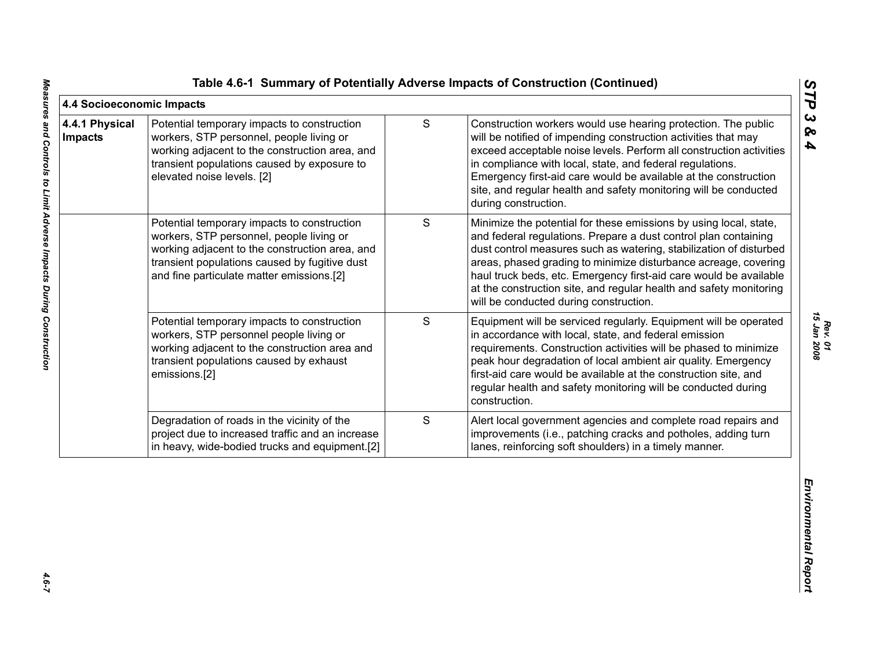| 4.4 Socioeconomic Impacts<br>4.4.1 Physical | Potential temporary impacts to construction                                                                                                                                                                                             | $\mathsf S$ | Construction workers would use hearing protection. The public                                                                                                                                                                                                                                                                                                                                                                                                      |
|---------------------------------------------|-----------------------------------------------------------------------------------------------------------------------------------------------------------------------------------------------------------------------------------------|-------------|--------------------------------------------------------------------------------------------------------------------------------------------------------------------------------------------------------------------------------------------------------------------------------------------------------------------------------------------------------------------------------------------------------------------------------------------------------------------|
| <b>Impacts</b>                              | workers, STP personnel, people living or<br>working adjacent to the construction area, and<br>transient populations caused by exposure to<br>elevated noise levels. [2]                                                                 |             | will be notified of impending construction activities that may<br>exceed acceptable noise levels. Perform all construction activities<br>in compliance with local, state, and federal regulations.<br>Emergency first-aid care would be available at the construction<br>site, and regular health and safety monitoring will be conducted<br>during construction.                                                                                                  |
|                                             | Potential temporary impacts to construction<br>workers, STP personnel, people living or<br>working adjacent to the construction area, and<br>transient populations caused by fugitive dust<br>and fine particulate matter emissions.[2] | $\mathbf S$ | Minimize the potential for these emissions by using local, state,<br>and federal regulations. Prepare a dust control plan containing<br>dust control measures such as watering, stabilization of disturbed<br>areas, phased grading to minimize disturbance acreage, covering<br>haul truck beds, etc. Emergency first-aid care would be available<br>at the construction site, and regular health and safety monitoring<br>will be conducted during construction. |
|                                             | Potential temporary impacts to construction<br>workers, STP personnel people living or<br>working adjacent to the construction area and<br>transient populations caused by exhaust<br>emissions.[2]                                     | S           | Equipment will be serviced regularly. Equipment will be operated<br>in accordance with local, state, and federal emission<br>requirements. Construction activities will be phased to minimize<br>peak hour degradation of local ambient air quality. Emergency<br>first-aid care would be available at the construction site, and<br>regular health and safety monitoring will be conducted during<br>construction.                                                |
|                                             | Degradation of roads in the vicinity of the<br>project due to increased traffic and an increase<br>in heavy, wide-bodied trucks and equipment.[2]                                                                                       | $\mathsf S$ | Alert local government agencies and complete road repairs and<br>improvements (i.e., patching cracks and potholes, adding turn<br>lanes, reinforcing soft shoulders) in a timely manner.                                                                                                                                                                                                                                                                           |

*STP 3 & 4*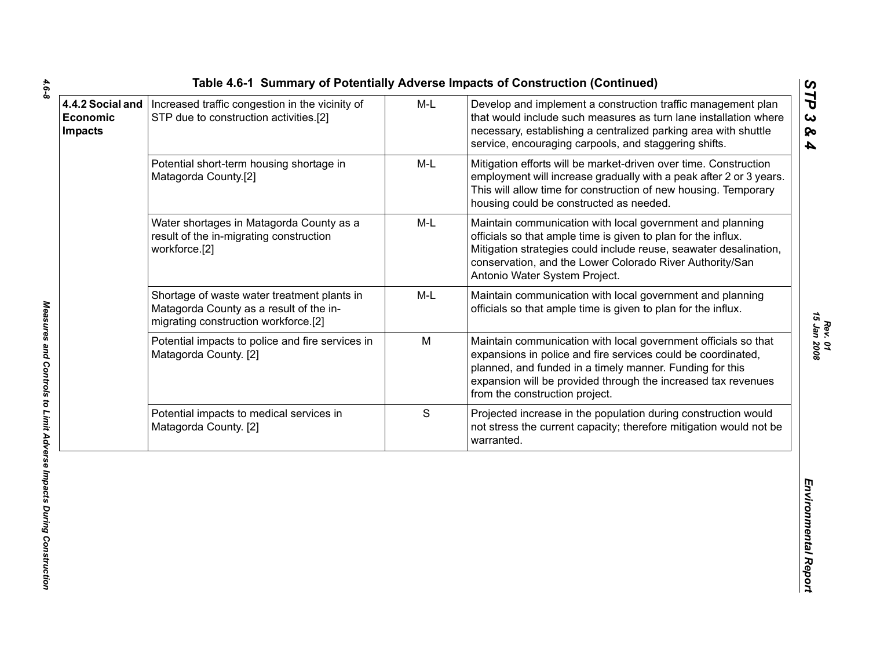|                                                |                                                                                                                                |       | Table 4.6-1 Summary of Potentially Adverse Impacts of Construction (Continued)                                                                                                                                                                                                                | ပ                                                             |
|------------------------------------------------|--------------------------------------------------------------------------------------------------------------------------------|-------|-----------------------------------------------------------------------------------------------------------------------------------------------------------------------------------------------------------------------------------------------------------------------------------------------|---------------------------------------------------------------|
| 4.4.2 Social and<br>Economic<br><b>Impacts</b> | Increased traffic congestion in the vicinity of<br>STP due to construction activities.[2]                                      | $M-L$ | Develop and implement a construction traffic management plan<br>that would include such measures as turn lane installation where<br>necessary, establishing a centralized parking area with shuttle<br>service, encouraging carpools, and staggering shifts.                                  | $\vec{P}$<br>$\boldsymbol{\omega}$<br>ନ୍ତ<br>$\blacktriangle$ |
|                                                | Potential short-term housing shortage in<br>Matagorda County.[2]                                                               | $M-L$ | Mitigation efforts will be market-driven over time. Construction<br>employment will increase gradually with a peak after 2 or 3 years.<br>This will allow time for construction of new housing. Temporary<br>housing could be constructed as needed.                                          |                                                               |
|                                                | Water shortages in Matagorda County as a<br>result of the in-migrating construction<br>workforce.[2]                           | $M-L$ | Maintain communication with local government and planning<br>officials so that ample time is given to plan for the influx.<br>Mitigation strategies could include reuse, seawater desalination,<br>conservation, and the Lower Colorado River Authority/San<br>Antonio Water System Project.  |                                                               |
|                                                | Shortage of waste water treatment plants in<br>Matagorda County as a result of the in-<br>migrating construction workforce.[2] | $M-L$ | Maintain communication with local government and planning<br>officials so that ample time is given to plan for the influx.                                                                                                                                                                    |                                                               |
|                                                | Potential impacts to police and fire services in<br>Matagorda County. [2]                                                      | M     | Maintain communication with local government officials so that<br>expansions in police and fire services could be coordinated,<br>planned, and funded in a timely manner. Funding for this<br>expansion will be provided through the increased tax revenues<br>from the construction project. | 15 Jan 2008                                                   |
|                                                | Potential impacts to medical services in<br>Matagorda County. [2]                                                              | S     | Projected increase in the population during construction would<br>not stress the current capacity; therefore mitigation would not be<br>warranted.                                                                                                                                            |                                                               |
|                                                |                                                                                                                                |       |                                                                                                                                                                                                                                                                                               | Environmental Report                                          |

<u>L</u>